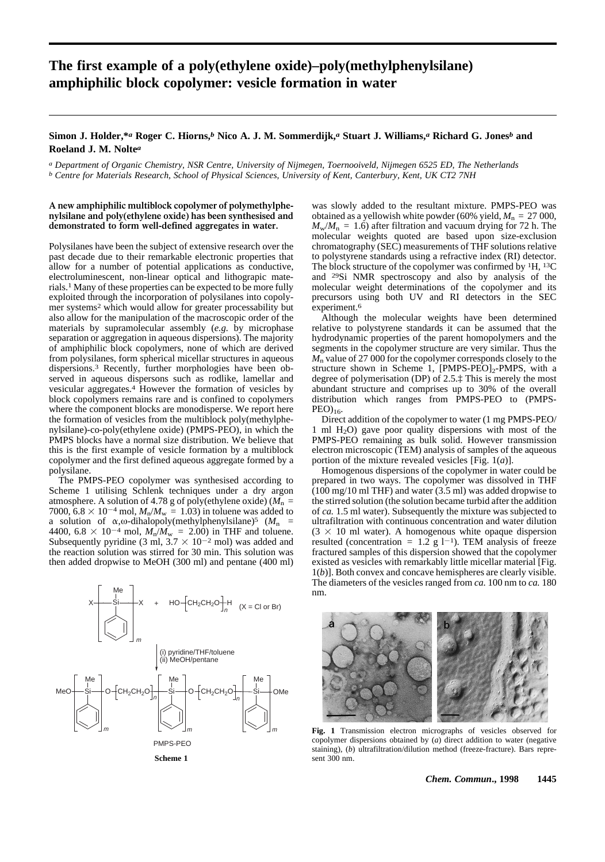# **The first example of a poly(ethylene oxide)–poly(methylphenylsilane) amphiphilic block copolymer: vesicle formation in water**

## **Simon J. Holder,\****a* **Roger C. Hiorns,***b* **Nico A. J. M. Sommerdijk,***a* **Stuart J. Williams,***a* **Richard G. Jones***b* **and Roeland J. M. Nolte***a*

*a Department of Organic Chemistry, NSR Centre, University of Nijmegen, Toernooiveld, Nijmegen 6525 ED, The Netherlands b Centre for Materials Research, School of Physical Sciences, University of Kent, Canterbury, Kent, UK CT2 7NH*

### **A new amphiphilic multiblock copolymer of polymethylphenylsilane and poly(ethylene oxide) has been synthesised and demonstrated to form well-defined aggregates in water.**

Polysilanes have been the subject of extensive research over the past decade due to their remarkable electronic properties that allow for a number of potential applications as conductive, electroluminescent, non-linear optical and lithograpic materials.1 Many of these properties can be expected to be more fully exploited through the incorporation of polysilanes into copolymer systems2 which would allow for greater processability but also allow for the manipulation of the macroscopic order of the materials by supramolecular assembly (*e.g.* by microphase separation or aggregation in aqueous dispersions). The majority of amphiphilic block copolymers, none of which are derived from polysilanes, form spherical micellar structures in aqueous dispersions.3 Recently, further morphologies have been observed in aqueous dispersons such as rodlike, lamellar and vesicular aggregates.4 However the formation of vesicles by block copolymers remains rare and is confined to copolymers where the component blocks are monodisperse. We report here the formation of vesicles from the multiblock poly(methylphenylsilane)-co-poly(ethylene oxide) (PMPS-PEO), in which the PMPS blocks have a normal size distribution. We believe that this is the first example of vesicle formation by a multiblock copolymer and the first defined aqueous aggregate formed by a polysilane.

The PMPS-PEO copolymer was synthesised according to Scheme 1 utilising Schlenk techniques under a dry argon atmosphere. A solution of 4.78 g of poly(ethylene oxide) ( $M_n$  = 7000,  $6.8 \times 10^{-4}$  mol,  $M_p/M_w = 1.03$ ) in toluene was added to a solution of  $\alpha$ ,  $\omega$ -dihalopoly(methylphenylsilane)<sup>5</sup> ( $M_n$  = 4400, 6.8  $\times$  10<sup>-4</sup> mol,  $M_n/M_w = 2.00$ ) in THF and toluene. Subsequently pyridine (3 ml,  $3.7 \times 10^{-2}$  mol) was added and the reaction solution was stirred for 30 min. This solution was then added dropwise to MeOH (300 ml) and pentane (400 ml)



**Scheme 1**

was slowly added to the resultant mixture. PMPS-PEO was obtained as a yellowish white powder (60% yield,  $M_n = 27000$ ,  $M_{\rm w}/M_{\rm n} = 1.6$ ) after filtration and vacuum drying for 72 h. The molecular weights quoted are based upon size-exclusion chromatography (SEC) measurements of THF solutions relative to polystyrene standards using a refractive index (RI) detector. The block structure of the copolymer was confirmed by 1H, 13C and 29Si NMR spectroscopy and also by analysis of the molecular weight determinations of the copolymer and its precursors using both UV and RI detectors in the SEC experiment.<sup>6</sup>

Although the molecular weights have been determined relative to polystyrene standards it can be assumed that the hydrodynamic properties of the parent homopolymers and the segments in the copolymer structure are very similar. Thus the *M*<sup>n</sup> value of 27 000 for the copolymer corresponds closely to the structure shown in Scheme 1,  $[PMPS-PEO]_2$ -PMPS, with a degree of polymerisation (DP) of 2.5.‡ This is merely the most abundant structure and comprises up to 30% of the overall distribution which ranges from PMPS-PEO to (PMPS- $PEO$ <sub>16</sub>.

Direct addition of the copolymer to water (1 mg PMPS-PEO/ 1 ml  $H_2O$ ) gave poor quality dispersions with most of the PMPS-PEO remaining as bulk solid. However transmission electron microscopic (TEM) analysis of samples of the aqueous portion of the mixture revealed vesicles [Fig. 1(*a*)].

Homogenous dispersions of the copolymer in water could be prepared in two ways. The copolymer was dissolved in THF  $(100 \text{ mg}/10 \text{ ml}$  THF) and water  $(3.5 \text{ ml})$  was added dropwise to the stirred solution (the solution became turbid after the addition of *ca.* 1.5 ml water). Subsequently the mixture was subjected to ultrafiltration with continuous concentration and water dilution  $(3 \times 10 \text{ ml} \text{ water})$ . A homogenous white opaque dispersion resulted (concentration = 1.2 g l<sup>-1</sup>). TEM analysis of freeze fractured samples of this dispersion showed that the copolymer existed as vesicles with remarkably little micellar material [Fig. 1(*b*)]. Both convex and concave hemispheres are clearly visible. The diameters of the vesicles ranged from *ca.* 100 nm to *ca.* 180 nm.



**Fig. 1** Transmission electron micrographs of vesicles observed for copolymer dispersions obtained by (*a*) direct addition to water (negative staining), (*b*) ultrafiltration/dilution method (freeze-fracture). Bars represent 300 nm.